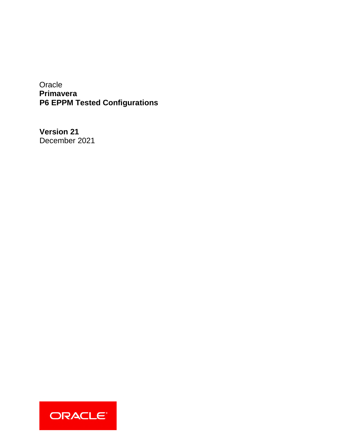**Oracle Primavera P6 EPPM Tested Configurations** 

**Version 21**  December 2021

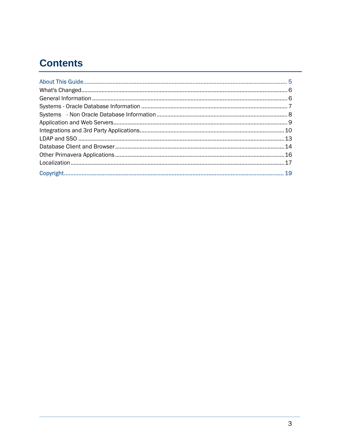# **Contents**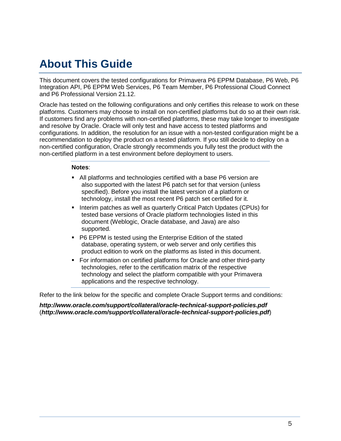# <span id="page-4-0"></span>**About This Guide**

This document covers the tested configurations for Primavera P6 EPPM Database, P6 Web, P6 Integration API, P6 EPPM Web Services, P6 Team Member, P6 Professional Cloud Connect and P6 Professional Version 21.12.

Oracle has tested on the following configurations and only certifies this release to work on these platforms. Customers may choose to install on non-certified platforms but do so at their own risk. If customers find any problems with non-certified platforms, these may take longer to investigate and resolve by Oracle. Oracle will only test and have access to tested platforms and configurations. In addition, the resolution for an issue with a non-tested configuration might be a recommendation to deploy the product on a tested platform. If you still decide to deploy on a non-certified configuration, Oracle strongly recommends you fully test the product with the non-certified platform in a test environment before deployment to users.

#### **Notes**:

- All platforms and technologies certified with a base P6 version are also supported with the latest P6 patch set for that version (unless specified). Before you install the latest version of a platform or technology, install the most recent P6 patch set certified for it.
- **Interim patches as well as quarterly Critical Patch Updates (CPUs) for** tested base versions of Oracle platform technologies listed in this document (Weblogic, Oracle database, and Java) are also supported.
- P6 EPPM is tested using the Enterprise Edition of the stated database, operating system, or web server and only certifies this product edition to work on the platforms as listed in this document.
- For information on certified platforms for Oracle and other third-party technologies, refer to the certification matrix of the respective technology and select the platform compatible with your Primavera applications and the respective technology.

Refer to the link below for the specific and complete Oracle Support terms and conditions:

*http://www.oracle.com/support/collateral/oracle-technical-support-policies.pdf* (*<http://www.oracle.com/support/collateral/oracle-technical-support-policies.pdf>*)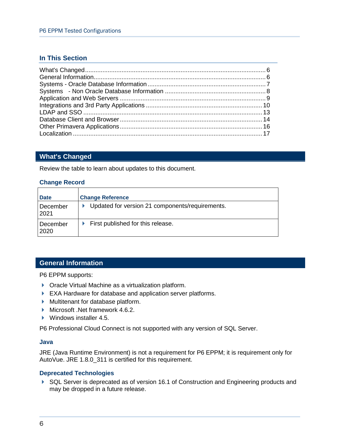## **In This Section**

## <span id="page-5-0"></span>**What's Changed**

Review the table to learn about updates to this document.

#### **Change Record**

| <b>Date</b>       | <b>Change Reference</b>                         |
|-------------------|-------------------------------------------------|
| December<br> 2021 | Updated for version 21 components/requirements. |
| December<br>2020  | First published for this release.               |

### <span id="page-5-1"></span>**General Information**

P6 EPPM supports:

- ▶ Oracle Virtual Machine as a virtualization platform.
- EXA Hardware for database and application server platforms.
- Multitenant for database platform.
- Microsoft .Net framework 4.6.2.
- ▶ Windows installer 4.5.

P6 Professional Cloud Connect is not supported with any version of SQL Server.

#### **Java**

JRE (Java Runtime Environment) is not a requirement for P6 EPPM; it is requirement only for AutoVue. JRE 1.8.0\_311 is certified for this requirement.

### **Deprecated Technologies**

▶ SQL Server is deprecated as of version 16.1 of Construction and Engineering products and may be dropped in a future release.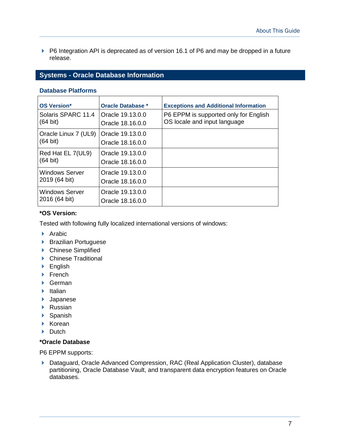▶ P6 Integration API is deprecated as of version 16.1 of P6 and may be dropped in a future release.

## <span id="page-6-0"></span>**Systems - Oracle Database Information**

#### **Database Platforms**

| <b>OS Version*</b>                         | <b>Oracle Database *</b>             | <b>Exceptions and Additional Information</b>                          |
|--------------------------------------------|--------------------------------------|-----------------------------------------------------------------------|
| Solaris SPARC 11.4<br>$(64 \text{ bit})$   | Oracle 19.13.0.0<br>Oracle 18.16.0.0 | P6 EPPM is supported only for English<br>OS locale and input language |
| Oracle Linux 7 (UL9)<br>$(64 \text{ bit})$ | Oracle 19.13.0.0<br>Oracle 18.16.0.0 |                                                                       |
| Red Hat EL 7(UL9)<br>$(64 \text{ bit})$    | Oracle 19.13.0.0<br>Oracle 18.16.0.0 |                                                                       |
| <b>Windows Server</b><br>2019 (64 bit)     | Oracle 19.13.0.0<br>Oracle 18.16.0.0 |                                                                       |
| <b>Windows Server</b><br>2016 (64 bit)     | Oracle 19.13.0.0<br>Oracle 18.16.0.0 |                                                                       |

#### **\*OS Version:**

Tested with following fully localized international versions of windows:

- $\blacktriangleright$  Arabic
- ▶ Brazilian Portuguese
- ▶ Chinese Simplified
- ▶ Chinese Traditional
- ▶ English
- $\blacktriangleright$  French
- ▶ German
- $\blacktriangleright$  Italian
- ▶ Japanese
- ▶ Russian
- ▶ Spanish
- $\blacktriangleright$  Korean
- $\blacktriangleright$  Dutch

#### **\*Oracle Database**

P6 EPPM supports:

 Dataguard, Oracle Advanced Compression, RAC (Real Application Cluster), database partitioning, Oracle Database Vault, and transparent data encryption features on Oracle databases.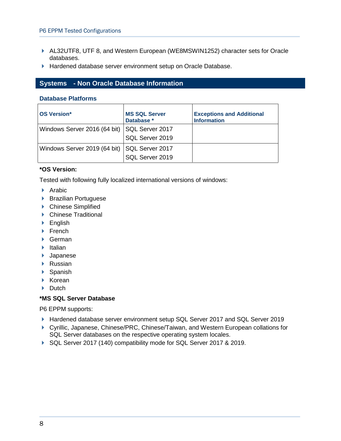- AL32UTF8, UTF 8, and Western European (WE8MSWIN1252) character sets for Oracle databases.
- Hardened database server environment setup on Oracle Database.

## <span id="page-7-1"></span><span id="page-7-0"></span>**Systems - Non Oracle Database Information**

#### **Database Platforms**

| <b>OS Version*</b>           | <b>MS SQL Server</b><br>Database * | <b>Exceptions and Additional</b><br><b>Information</b> |
|------------------------------|------------------------------------|--------------------------------------------------------|
| Windows Server 2016 (64 bit) | SQL Server 2017                    |                                                        |
|                              | SQL Server 2019                    |                                                        |
| Windows Server 2019 (64 bit) | SQL Server 2017                    |                                                        |
|                              | SQL Server 2019                    |                                                        |

### **\*OS Version:**

Tested with following fully localized international versions of windows:

- $\blacktriangleright$  Arabic
- ▶ Brazilian Portuguese
- ▶ Chinese Simplified
- ▶ Chinese Traditional
- ▶ English
- $\blacktriangleright$  French
- ▶ German
- $\blacktriangleright$  Italian
- Japanese
- ▶ Russian
- ▶ Spanish
- $\triangleright$  Korean
- $\blacktriangleright$  Dutch

### **\*MS SQL Server Database**

P6 EPPM supports:

- ▶ Hardened database server environment setup SQL Server 2017 and SQL Server 2019
- ▶ Cyrillic, Japanese, Chinese/PRC, Chinese/Taiwan, and Western European collations for SQL Server databases on the respective operating system locales.
- ▶ SQL Server 2017 (140) compatibility mode for SQL Server 2017 & 2019.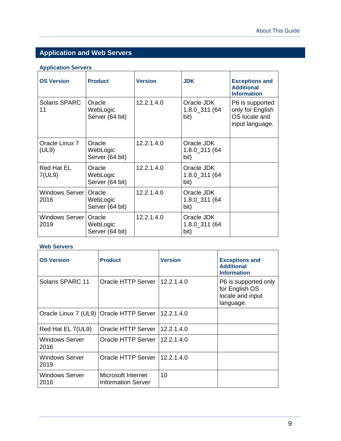## <span id="page-8-1"></span><span id="page-8-0"></span>**Application and Web Servers**

## **Application Servers**

| <b>OS Version</b>        | <b>Product</b>                        | <b>Version</b> | <b>JDK</b>                          | <b>Exceptions and</b><br><b>Additional</b><br><b>Information</b>        |
|--------------------------|---------------------------------------|----------------|-------------------------------------|-------------------------------------------------------------------------|
| Solaris SPARC<br>11      | Oracle<br>WebLogic<br>Server (64 bit) | 12.2.1.4.0     | Oracle JDK<br>1.8.0_311 (64<br>bit) | P6 is supported<br>only for English<br>OS locale and<br>input language. |
| Oracle Linux 7<br>(UL9)  | Oracle<br>WebLogic<br>Server (64 bit) | 12.2.1.4.0     | Oracle JDK<br>1.8.0_311 (64<br>bit) |                                                                         |
| Red Hat EL<br>7(UL9)     | Oracle<br>WebLogic<br>Server (64 bit) | 12.2.1.4.0     | Oracle JDK<br>1.8.0_311 (64<br>bit) |                                                                         |
| Windows Server I<br>2016 | Oracle<br>WebLogic<br>Server (64 bit) | 12.2.1.4.0     | Oracle JDK<br>1.8.0_311 (64<br>bit) |                                                                         |
| Windows Server I<br>2019 | Oracle<br>WebLogic<br>Server (64 bit) | 12.2.1.4.0     | Oracle JDK<br>1.8.0_311 (64<br>bit) |                                                                         |

## **Web Servers**

| <b>OS Version</b>      | <b>Product</b>                                  | <b>Version</b> | <b>Exceptions and</b><br><b>Additional</b><br><b>Information</b>        |
|------------------------|-------------------------------------------------|----------------|-------------------------------------------------------------------------|
| Solaris SPARC 11       | Oracle HTTP Server                              | 112.2.1.4.0    | P6 is supported only<br>for English OS<br>locale and input<br>language. |
|                        | Oracle Linux 7 (UL9) Oracle HTTP Server         | 12.2.1.4.0     |                                                                         |
| Red Hat EL 7(UL9)      | Oracle HTTP Server   12.2.1.4.0                 |                |                                                                         |
| Windows Server<br>2016 | Oracle HTTP Server                              | 12.2.1.4.0     |                                                                         |
| Windows Server<br>2019 | Oracle HTTP Server 112.2.1.4.0                  |                |                                                                         |
| Windows Server<br>2016 | Microsoft Internet<br><b>Information Server</b> | 10             |                                                                         |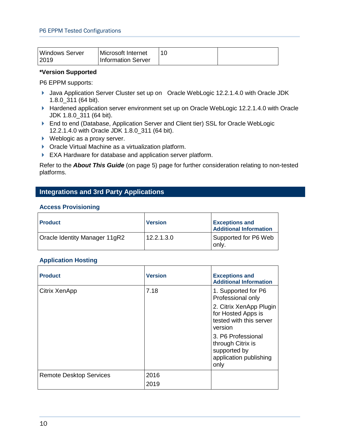| Windows Server | Microsoft Internet        |  |
|----------------|---------------------------|--|
| 12019          | <b>Information Server</b> |  |

### **\*Version Supported**

P6 EPPM supports:

- ▶ Java Application Server Cluster set up on Oracle WebLogic 12.2.1.4.0 with Oracle JDK 1.8.0\_311 (64 bit).
- ▶ Hardened application server environment set up on Oracle WebLogic 12.2.1.4.0 with Oracle JDK 1.8.0\_311 (64 bit).
- ▶ End to end (Database, Application Server and Client tier) SSL for Oracle WebLogic 12.2.1.4.0 with Oracle JDK 1.8.0\_311 (64 bit).
- ▶ Weblogic as a proxy server.
- ▶ Oracle Virtual Machine as a virtualization platform.
- EXA Hardware for database and application server platform.

Refer to the *About This Guide* (on page [5\)](#page-4-0) page for further consideration relating to non-tested platforms.

## <span id="page-9-0"></span>**Integrations and 3rd Party Applications**

#### **Access Provisioning**

| <b>Product</b>                | <b>Version</b> | <b>Exceptions and</b><br><b>Additional Information</b> |
|-------------------------------|----------------|--------------------------------------------------------|
| Oracle Identity Manager 11gR2 | 12.2.1.3.0     | Supported for P6 Web<br>only.                          |

#### **Application Hosting**

| <b>Product</b>                 | <b>Version</b> | <b>Exceptions and</b><br><b>Additional Information</b>                                    |
|--------------------------------|----------------|-------------------------------------------------------------------------------------------|
| Citrix XenApp                  | 7.18           | 1. Supported for P6<br>Professional only                                                  |
|                                |                | 2. Citrix XenApp Plugin<br>for Hosted Apps is<br>tested with this server<br>version       |
|                                |                | 3. P6 Professional<br>through Citrix is<br>supported by<br>application publishing<br>only |
| <b>Remote Desktop Services</b> | 2016           |                                                                                           |
|                                | 2019           |                                                                                           |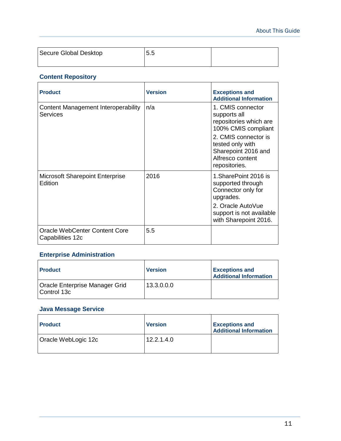| Secure Global Desktop | 5.5 |  |
|-----------------------|-----|--|
|                       |     |  |

## **Content Repository**

| <b>Product</b>                                           | <b>Version</b> | <b>Exceptions and</b><br><b>Additional Information</b>                                                                                                                                     |
|----------------------------------------------------------|----------------|--------------------------------------------------------------------------------------------------------------------------------------------------------------------------------------------|
| Content Management Interoperability<br>Services          | n/a            | 1. CMIS connector<br>supports all<br>repositories which are<br>100% CMIS compliant<br>2. CMIS connector is<br>tested only with<br>Sharepoint 2016 and<br>Alfresco content<br>repositories. |
| <b>Microsoft Sharepoint Enterprise</b><br>Edition        | 2016           | 1.SharePoint 2016 is<br>supported through<br>Connector only for<br>upgrades.<br>2. Oracle AutoVue<br>support is not available<br>with Sharepoint 2016.                                     |
| <b>Oracle WebCenter Content Core</b><br>Capabilities 12c | 5.5            |                                                                                                                                                                                            |

## **Enterprise Administration**

| <b>Product</b>                                  | <b>Version</b> | <b>Exceptions and</b><br><b>Additional Information</b> |
|-------------------------------------------------|----------------|--------------------------------------------------------|
| Oracle Enterprise Manager Grid<br>l Control 13c | 13.3.0.0.0     |                                                        |

## **Java Message Service**

| <b>Product</b>      | <b>Version</b> | <b>Exceptions and</b><br><b>Additional Information</b> |
|---------------------|----------------|--------------------------------------------------------|
| Oracle WebLogic 12c | 12.2.1.4.0     |                                                        |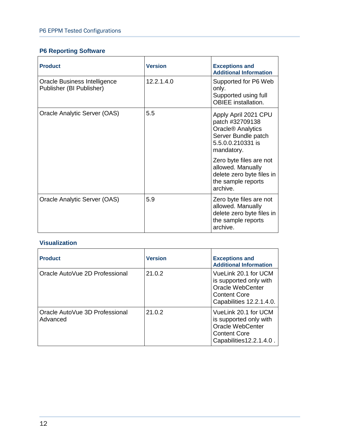## **P6 Reporting Software**

| <b>Product</b>                                           | <b>Version</b> | <b>Exceptions and</b><br><b>Additional Information</b>                                                                             |
|----------------------------------------------------------|----------------|------------------------------------------------------------------------------------------------------------------------------------|
| Oracle Business Intelligence<br>Publisher (BI Publisher) | 12.2.1.4.0     | Supported for P6 Web<br>only.<br>Supported using full<br><b>OBIEE</b> installation.                                                |
| Oracle Analytic Server (OAS)                             | 5.5            | Apply April 2021 CPU<br>patch #32709138<br>Oracle <sup>®</sup> Analytics<br>Server Bundle patch<br>5.5.0.0.210331 is<br>mandatory. |
|                                                          |                | Zero byte files are not<br>allowed. Manually<br>delete zero byte files in<br>the sample reports<br>archive.                        |
| Oracle Analytic Server (OAS)                             | 5.9            | Zero byte files are not<br>allowed. Manually<br>delete zero byte files in<br>the sample reports<br>archive.                        |

## **Visualization**

| <b>Product</b>                             | <b>Version</b> | <b>Exceptions and</b><br><b>Additional Information</b>                                                                |
|--------------------------------------------|----------------|-----------------------------------------------------------------------------------------------------------------------|
| Oracle AutoVue 2D Professional             | 21.0.2         | VueLink 20.1 for UCM<br>is supported only with<br>Oracle WebCenter<br><b>Content Core</b><br>Capabilities 12.2.1.4.0. |
| Oracle AutoVue 3D Professional<br>Advanced | 21.0.2         | VueLink 20.1 for UCM<br>is supported only with<br>Oracle WebCenter<br><b>Content Core</b><br>Capabilities12.2.1.4.0.  |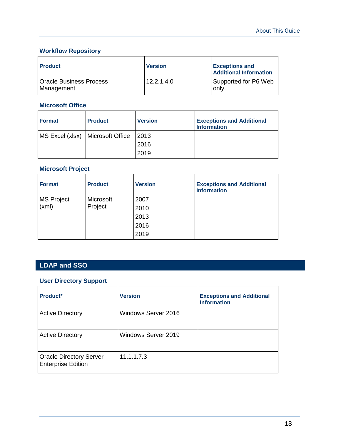## **Workflow Repository**

| <b>Product</b>                               | <b>Version</b> | <b>Exceptions and</b><br><b>Additional Information</b> |
|----------------------------------------------|----------------|--------------------------------------------------------|
| <b>Oracle Business Process</b><br>Management | 12.2.1.4.0     | Supported for P6 Web<br>only.                          |

### **Microsoft Office**

| <b>Format</b>                      | <b>Product</b> | <b>Version</b> | <b>Exceptions and Additional</b><br><b>Information</b> |
|------------------------------------|----------------|----------------|--------------------------------------------------------|
| MS Excel (xlsx)   Microsoft Office |                | 2013           |                                                        |
|                                    |                | 2016           |                                                        |
|                                    |                | 2019           |                                                        |

## **Microsoft Project**

| <b>Format</b>     | <b>Product</b> | <b>Version</b> | <b>Exceptions and Additional</b><br><b>Information</b> |
|-------------------|----------------|----------------|--------------------------------------------------------|
| <b>MS Project</b> | Microsoft      | 2007           |                                                        |
| (xml)<br>Project  | 2010           |                |                                                        |
|                   |                | 2013           |                                                        |
|                   |                | 2016           |                                                        |
|                   |                | 2019           |                                                        |

## <span id="page-12-1"></span><span id="page-12-0"></span>**LDAP and SSO**

## **User Directory Support**

| Product*                                                    | <b>Version</b>      | <b>Exceptions and Additional</b><br><b>Information</b> |
|-------------------------------------------------------------|---------------------|--------------------------------------------------------|
| <b>Active Directory</b>                                     | Windows Server 2016 |                                                        |
| <b>Active Directory</b>                                     | Windows Server 2019 |                                                        |
| <b>Oracle Directory Server</b><br><b>Enterprise Edition</b> | 11.1.1.7.3          |                                                        |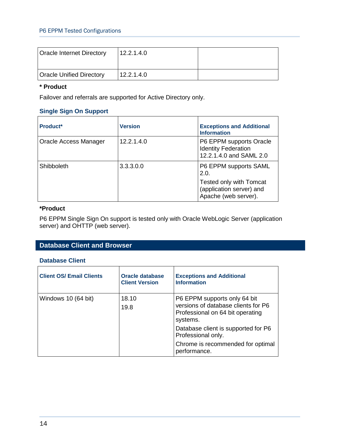| Oracle Internet Directory       | 12.2.1.4.0 |  |
|---------------------------------|------------|--|
| <b>Oracle Unified Directory</b> | 12.2.1.4.0 |  |

## **\* Product**

Failover and referrals are supported for Active Directory only.

## **Single Sign On Support**

| Product*              | <b>Version</b> | <b>Exceptions and Additional</b><br><b>Information</b>                                                       |
|-----------------------|----------------|--------------------------------------------------------------------------------------------------------------|
| Oracle Access Manager | 12.2.1.4.0     | P6 EPPM supports Oracle<br><b>Identity Federation</b><br>12.2.1.4.0 and SAML 2.0                             |
| Shibboleth            | 3.3.3.0.0      | P6 EPPM supports SAML<br>2.0.<br>Tested only with Tomcat<br>(application server) and<br>Apache (web server). |

### **\*Product**

P6 EPPM Single Sign On support is tested only with Oracle WebLogic Server (application server) and OHTTP (web server).

## <span id="page-13-1"></span><span id="page-13-0"></span>**Database Client and Browser**

#### **Database Client**

| <b>Client OS/ Email Clients</b> | Oracle database<br><b>Client Version</b> | <b>Exceptions and Additional</b><br><b>Information</b>                                                              |
|---------------------------------|------------------------------------------|---------------------------------------------------------------------------------------------------------------------|
| Windows 10 (64 bit)             | 18.10<br>19.8                            | P6 EPPM supports only 64 bit<br>versions of database clients for P6<br>Professional on 64 bit operating<br>systems. |
|                                 |                                          | Database client is supported for P6<br>Professional only.                                                           |
|                                 |                                          | Chrome is recommended for optimal<br>performance.                                                                   |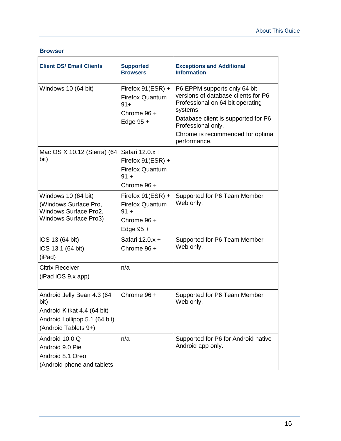#### **Browser**

| <b>Client OS/ Email Clients</b>                                                                                            | <b>Supported</b><br><b>Browsers</b>                                                       | <b>Exceptions and Additional</b><br><b>Information</b>                                                                                                                                                                                |
|----------------------------------------------------------------------------------------------------------------------------|-------------------------------------------------------------------------------------------|---------------------------------------------------------------------------------------------------------------------------------------------------------------------------------------------------------------------------------------|
| Windows 10 (64 bit)                                                                                                        | Firefox 91(ESR) +<br><b>Firefox Quantum</b><br>$91+$<br>Chrome 96 +<br>Edge $95 +$        | P6 EPPM supports only 64 bit<br>versions of database clients for P6<br>Professional on 64 bit operating<br>systems.<br>Database client is supported for P6<br>Professional only.<br>Chrome is recommended for optimal<br>performance. |
| Mac OS X 10.12 (Sierra) (64<br>bit)                                                                                        | Safari 12.0.x +<br>Firefox $91(ESR) +$<br><b>Firefox Quantum</b><br>$91 +$<br>Chrome 96 + |                                                                                                                                                                                                                                       |
| Windows 10 (64 bit)<br>(Windows Surface Pro,<br>Windows Surface Pro2,<br><b>Windows Surface Pro3)</b>                      | Firefox $91(ESR) +$<br><b>Firefox Quantum</b><br>$91 +$<br>Chrome $96 +$<br>Edge $95 +$   | Supported for P6 Team Member<br>Web only.                                                                                                                                                                                             |
| iOS 13 (64 bit)<br>iOS 13.1 (64 bit)<br>(iPad)                                                                             | Safari 12.0.x +<br>Chrome $96 +$                                                          | Supported for P6 Team Member<br>Web only.                                                                                                                                                                                             |
| <b>Citrix Receiver</b><br>$(iPad \, iOS \, 9.x \, app)$                                                                    | n/a                                                                                       |                                                                                                                                                                                                                                       |
| Android Jelly Bean 4.3 (64<br>bit)<br>Android Kitkat 4.4 (64 bit)<br>Android Lollipop 5.1 (64 bit)<br>(Android Tablets 9+) | Chrome $96 +$                                                                             | Supported for P6 Team Member<br>Web only.                                                                                                                                                                                             |
| Android 10.0 Q<br>Android 9.0 Pie<br>Android 8.1 Oreo<br>(Android phone and tablets                                        | n/a                                                                                       | Supported for P6 for Android native<br>Android app only.                                                                                                                                                                              |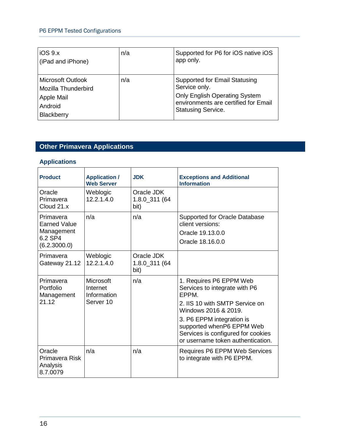## P6 EPPM Tested Configurations

| IOS 9.x<br>(iPad and iPhone)                                                           | n/a | Supported for P6 for iOS native iOS<br>app only.                                                                                                                   |
|----------------------------------------------------------------------------------------|-----|--------------------------------------------------------------------------------------------------------------------------------------------------------------------|
| <b>Microsoft Outlook</b><br>Mozilla Thunderbird<br>Apple Mail<br>Android<br>Blackberry | n/a | <b>Supported for Email Statusing</b><br>Service only.<br><b>Only English Operating System</b><br>environments are certified for Email<br><b>Statusing Service.</b> |

## <span id="page-15-0"></span>**Other Primavera Applications**

## **Applications**

| <b>Product</b>                                                            | <b>Application /</b><br><b>Web Server</b>         | <b>JDK</b>                          | <b>Exceptions and Additional</b><br><b>Information</b>                                                                                                                                                                                                           |
|---------------------------------------------------------------------------|---------------------------------------------------|-------------------------------------|------------------------------------------------------------------------------------------------------------------------------------------------------------------------------------------------------------------------------------------------------------------|
| Oracle<br>Primavera<br>Cloud 21.x                                         | Weblogic<br>12.2.1.4.0                            | Oracle JDK<br>1.8.0_311 (64<br>bit) |                                                                                                                                                                                                                                                                  |
| Primavera<br><b>Earned Value</b><br>Management<br>6.2 SP4<br>(6.2.3000.0) | n/a                                               | n/a                                 | <b>Supported for Oracle Database</b><br>client versions:<br>Oracle 19.13.0.0<br>Oracle 18.16.0.0                                                                                                                                                                 |
| Primavera<br>Gateway 21.12                                                | Weblogic<br>12.2.1.4.0                            | Oracle JDK<br>1.8.0_311 (64<br>bit) |                                                                                                                                                                                                                                                                  |
| Primavera<br>Portfolio<br>Management<br>21.12                             | Microsoft<br>Internet<br>Information<br>Server 10 | n/a                                 | 1. Requires P6 EPPM Web<br>Services to integrate with P6<br>EPPM.<br>2. IIS 10 with SMTP Service on<br>Windows 2016 & 2019.<br>3. P6 EPPM integration is<br>supported whenP6 EPPM Web<br>Services is configured for cookies<br>or username token authentication. |
| Oracle<br>Primavera Risk<br>Analysis<br>8.7.0079                          | n/a                                               | n/a                                 | Requires P6 EPPM Web Services<br>to integrate with P6 EPPM.                                                                                                                                                                                                      |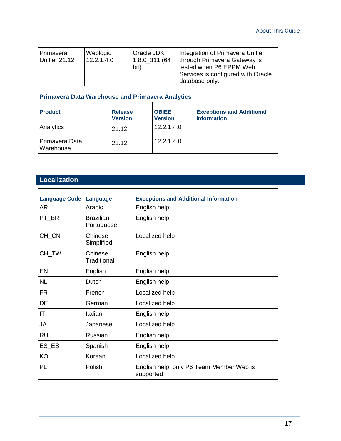| <b>Oracle JDK</b><br>Weblogic<br>Primavera<br>12.2.1.4.0<br>Unifier 21.12<br>1.8.0 311 (64<br>bit) | Integration of Primavera Unifier<br>Ithrough Primavera Gateway is<br>tested when P6 EPPM Web<br>Services is configured with Oracle<br>database only. |
|----------------------------------------------------------------------------------------------------|------------------------------------------------------------------------------------------------------------------------------------------------------|
|----------------------------------------------------------------------------------------------------|------------------------------------------------------------------------------------------------------------------------------------------------------|

## **Primavera Data Warehouse and Primavera Analytics**

| <b>Product</b>                     | <b>Release</b><br><b>Version</b> | <b>OBIEE</b><br><b>Version</b> | <b>Exceptions and Additional</b><br><b>Information</b> |
|------------------------------------|----------------------------------|--------------------------------|--------------------------------------------------------|
| Analytics                          | 21.12                            | 12.2.1.4.0                     |                                                        |
| <b>Primavera Data</b><br>Warehouse | 21.12                            | 12.2.1.4.0                     |                                                        |

## <span id="page-16-0"></span>**Localization**

| <b>Language Code</b> | Language                       | <b>Exceptions and Additional Information</b>          |
|----------------------|--------------------------------|-------------------------------------------------------|
| AR                   | Arabic                         | English help                                          |
| PT BR                | <b>Brazilian</b><br>Portuguese | English help                                          |
| CH_CN                | Chinese<br>Simplified          | Localized help                                        |
| CH_TW                | Chinese<br>Traditional         | English help                                          |
| EN                   | English                        | English help                                          |
| <b>NL</b>            | Dutch                          | English help                                          |
| <b>FR</b>            | French                         | Localized help                                        |
| DE                   | German                         | Localized help                                        |
| ΙT                   | Italian                        | English help                                          |
| <b>JA</b>            | Japanese                       | Localized help                                        |
| <b>RU</b>            | Russian                        | English help                                          |
| ES_ES                | Spanish                        | English help                                          |
| KO                   | Korean                         | Localized help                                        |
| PL                   | Polish                         | English help, only P6 Team Member Web is<br>supported |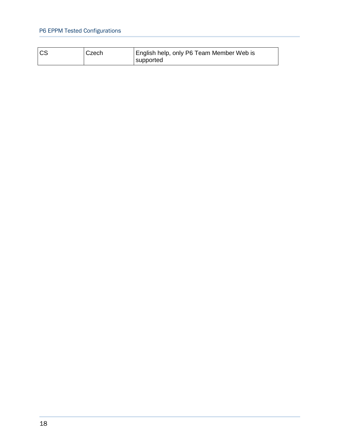## P6 EPPM Tested Configurations

| $\overline{c}$<br>Czech | English help, only P6 Team Member Web is<br>supported |  |
|-------------------------|-------------------------------------------------------|--|
|-------------------------|-------------------------------------------------------|--|